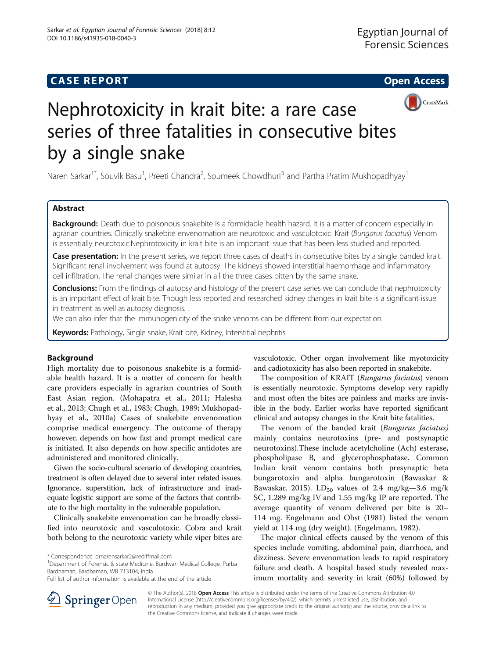

# Nephrotoxicity in krait bite: a rare case series of three fatalities in consecutive bites by a single snake

Naren Sarkar<sup>1\*</sup>, Souvik Basu<sup>1</sup>, Preeti Chandra<sup>2</sup>, Soumeek Chowdhuri<sup>3</sup> and Partha Pratim Mukhopadhyay<sup>1</sup>

# Abstract

Background: Death due to poisonous snakebite is a formidable health hazard. It is a matter of concern especially in agrarian countries. Clinically snakebite envenomation are neurotoxic and vasculotoxic. Krait (Bungarus faciatus) Venom is essentially neurotoxic.Nephrotoxicity in krait bite is an important issue that has been less studied and reported.

Case presentation: In the present series, we report three cases of deaths in consecutive bites by a single banded krait. Significant renal involvement was found at autopsy. The kidneys showed interstitial haemorrhage and inflammatory cell infiltration. The renal changes were similar in all the three cases bitten by the same snake.

**Conclusions:** From the findings of autopsy and histology of the present case series we can conclude that nephrotoxicity is an important effect of krait bite. Though less reported and researched kidney changes in krait bite is a significant issue in treatment as well as autopsy diagnosis. .

We can also infer that the immunogenicity of the snake venoms can be different from our expectation.

Keywords: Pathology, Single snake, Krait bite, Kidney, Interstitial nephritis

# Background

High mortality due to poisonous snakebite is a formidable health hazard. It is a matter of concern for health care providers especially in agrarian countries of South East Asian region. (Mohapatra et al., [2011;](#page-3-0) Halesha et al., [2013;](#page-3-0) Chugh et al., [1983](#page-3-0); Chugh, [1989](#page-3-0); Mukhopadhyay et al., [2010a](#page-3-0)) Cases of snakebite envenomation comprise medical emergency. The outcome of therapy however, depends on how fast and prompt medical care is initiated. It also depends on how specific antidotes are administered and monitored clinically.

Given the socio-cultural scenario of developing countries, treatment is often delayed due to several inter related issues. Ignorance, superstition, lack of infrastructure and inadequate logistic support are some of the factors that contribute to the high mortality in the vulnerable population.

Clinically snakebite envenomation can be broadly classified into neurotoxic and vasculotoxic. Cobra and krait both belong to the neurotoxic variety while viper bites are

<sup>1</sup>Department of Forensic & state Medicine, Burdwan Medical College, Purba Bardhaman, Bardhaman, WB 713104, India

vasculotoxic. Other organ involvement like myotoxicity and cadiotoxicity has also been reported in snakebite.

The composition of KRAIT (Bungarus faciatus) venom is essentially neurotoxic. Symptoms develop very rapidly and most often the bites are painless and marks are invisible in the body. Earlier works have reported significant clinical and autopsy changes in the Krait bite fatalities.

The venom of the banded krait (Bungarus faciatus) mainly contains neurotoxins (pre- and postsynaptic neurotoxins).These include acetylcholine (Ach) esterase, phospholipase B, and glycerophosphatase. Common Indian krait venom contains both presynaptic beta bungarotoxin and alpha bungarotoxin (Bawaskar & Bawaskar, [2015](#page-3-0)).  $LD_{50}$  values of 2.4 mg/kg-3.6 mg/k SC, 1.289 mg/kg IV and 1.55 mg/kg IP are reported. The average quantity of venom delivered per bite is 20– 114 mg. Engelmann and Obst (1981) listed the venom yield at 114 mg (dry weight). (Engelmann, [1982](#page-3-0)).

The major clinical effects caused by the venom of this species include vomiting, abdominal pain, diarrhoea, and dizziness. Severe envenomation leads to rapid respiratory failure and death. A hospital based study revealed maximum mortality and severity in krait (60%) followed by



© The Author(s). 2018 Open Access This article is distributed under the terms of the Creative Commons Attribution 4.0 International License ([http://creativecommons.org/licenses/by/4.0/\)](http://creativecommons.org/licenses/by/4.0/), which permits unrestricted use, distribution, and reproduction in any medium, provided you give appropriate credit to the original author(s) and the source, provide a link to the Creative Commons license, and indicate if changes were made.

<sup>\*</sup> Correspondence: [drnarensarkar2@rediffmail.com](mailto:drnarensarkar2@rediffmail.com)

Full list of author information is available at the end of the article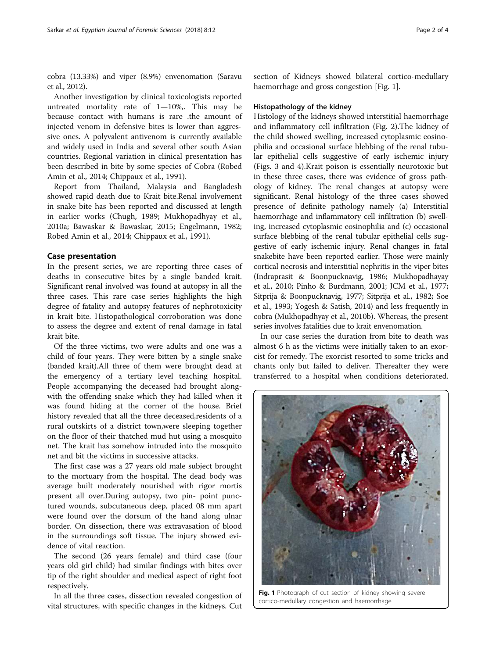cobra (13.33%) and viper (8.9%) envenomation (Saravu et al., [2012\)](#page-3-0).

Another investigation by clinical toxicologists reported untreated mortality rate of  $1-10\%$ . This may be because contact with humans is rare .the amount of injected venom in defensive bites is lower than aggressive ones. A polyvalent antivenom is currently available and widely used in India and several other south Asian countries. Regional variation in clinical presentation has been described in bite by some species of Cobra (Robed Amin et al., [2014](#page-3-0); Chippaux et al., [1991\)](#page-3-0).

Report from Thailand, Malaysia and Bangladesh showed rapid death due to Krait bite.Renal involvement in snake bite has been reported and discussed at length in earlier works (Chugh, [1989;](#page-3-0) Mukhopadhyay et al., [2010a;](#page-3-0) Bawaskar & Bawaskar, [2015](#page-3-0); Engelmann, [1982](#page-3-0); Robed Amin et al., [2014;](#page-3-0) Chippaux et al., [1991\)](#page-3-0).

#### Case presentation

In the present series, we are reporting three cases of deaths in consecutive bites by a single banded krait. Significant renal involved was found at autopsy in all the three cases. This rare case series highlights the high degree of fatality and autopsy features of nephrotoxicity in krait bite. Histopathological corroboration was done to assess the degree and extent of renal damage in fatal krait bite.

Of the three victims, two were adults and one was a child of four years. They were bitten by a single snake (banded krait).All three of them were brought dead at the emergency of a tertiary level teaching hospital. People accompanying the deceased had brought alongwith the offending snake which they had killed when it was found hiding at the corner of the house. Brief history revealed that all the three deceased,residents of a rural outskirts of a district town,were sleeping together on the floor of their thatched mud hut using a mosquito net. The krait has somehow intruded into the mosquito net and bit the victims in successive attacks.

The first case was a 27 years old male subject brought to the mortuary from the hospital. The dead body was average built moderately nourished with rigor mortis present all over.During autopsy, two pin- point punctured wounds, subcutaneous deep, placed 08 mm apart were found over the dorsum of the hand along ulnar border. On dissection, there was extravasation of blood in the surroundings soft tissue. The injury showed evidence of vital reaction.

The second (26 years female) and third case (four years old girl child) had similar findings with bites over tip of the right shoulder and medical aspect of right foot respectively.

In all the three cases, dissection revealed congestion of vital structures, with specific changes in the kidneys. Cut

section of Kidneys showed bilateral cortico-medullary haemorrhage and gross congestion [Fig. 1].

#### Histopathology of the kidney

Histology of the kidneys showed interstitial haemorrhage and inflammatory cell infiltration (Fig. [2](#page-2-0)).The kidney of the child showed swelling, increased cytoplasmic eosinophilia and occasional surface blebbing of the renal tubular epithelial cells suggestive of early ischemic injury (Figs. [3](#page-2-0) and [4](#page-2-0)).Krait poison is essentially neurotoxic but in these three cases, there was evidence of gross pathology of kidney. The renal changes at autopsy were significant. Renal histology of the three cases showed presence of definite pathology namely (a) Interstitial haemorrhage and inflammatory cell infiltration (b) swelling, increased cytoplasmic eosinophilia and (c) occasional surface blebbing of the renal tubular epithelial cells suggestive of early ischemic injury. Renal changes in fatal snakebite have been reported earlier. Those were mainly cortical necrosis and interstitial nephritis in the viper bites (Indraprasit & Boonpucknavig, [1986](#page-3-0); Mukhopadhayay et al., [2010](#page-3-0); Pinho & Burdmann, [2001;](#page-3-0) JCM et al., [1977](#page-3-0); Sitprija & Boonpucknavig, [1977;](#page-3-0) Sitprija et al., [1982](#page-3-0); Soe et al., [1993;](#page-3-0) Yogesh & Satish, [2014](#page-3-0)) and less frequently in cobra (Mukhopadhyay et al., [2010b](#page-3-0)). Whereas, the present series involves fatalities due to krait envenomation.

In our case series the duration from bite to death was almost 6 h as the victims were initially taken to an exorcist for remedy. The exorcist resorted to some tricks and chants only but failed to deliver. Thereafter they were transferred to a hospital when conditions deteriorated.



Fig. 1 Photograph of cut section of kidney showing severe cortico-medullary congestion and haemorrhage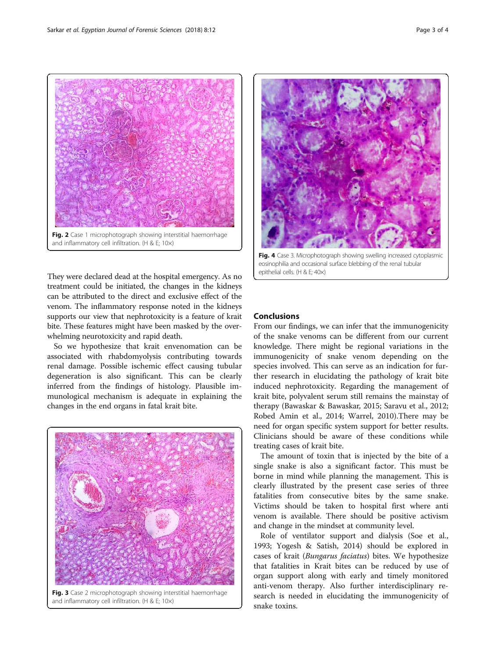<span id="page-2-0"></span>

They were declared dead at the hospital emergency. As no treatment could be initiated, the changes in the kidneys can be attributed to the direct and exclusive effect of the venom. The inflammatory response noted in the kidneys supports our view that nephrotoxicity is a feature of krait bite. These features might have been masked by the overwhelming neurotoxicity and rapid death.

So we hypothesize that krait envenomation can be associated with rhabdomyolysis contributing towards renal damage. Possible ischemic effect causing tubular degeneration is also significant. This can be clearly inferred from the findings of histology. Plausible immunological mechanism is adequate in explaining the changes in the end organs in fatal krait bite.



Fig. 3 Case 2 microphotograph showing interstitial haemorrhage and inflammatory cell infiltration. (H & E; 10×)



Fig. 4 Case 3. Microphotograph showing swelling increased cytoplasmic eosinophilia and occasional surface blebbing of the renal tubular epithelial cells. (H & E; 40×)

# Conclusions

From our findings, we can infer that the immunogenicity of the snake venoms can be different from our current knowledge. There might be regional variations in the immunogenicity of snake venom depending on the species involved. This can serve as an indication for further research in elucidating the pathology of krait bite induced nephrotoxicity. Regarding the management of krait bite, polyvalent serum still remains the mainstay of therapy (Bawaskar & Bawaskar, [2015](#page-3-0); Saravu et al., [2012](#page-3-0); Robed Amin et al., [2014](#page-3-0); Warrel, [2010](#page-3-0)).There may be need for organ specific system support for better results. Clinicians should be aware of these conditions while treating cases of krait bite.

The amount of toxin that is injected by the bite of a single snake is also a significant factor. This must be borne in mind while planning the management. This is clearly illustrated by the present case series of three fatalities from consecutive bites by the same snake. Victims should be taken to hospital first where anti venom is available. There should be positive activism and change in the mindset at community level.

Role of ventilator support and dialysis (Soe et al., [1993](#page-3-0); Yogesh & Satish, [2014](#page-3-0)) should be explored in cases of krait (Bungarus faciatus) bites. We hypothesize that fatalities in Krait bites can be reduced by use of organ support along with early and timely monitored anti-venom therapy. Also further interdisciplinary research is needed in elucidating the immunogenicity of snake toxins.